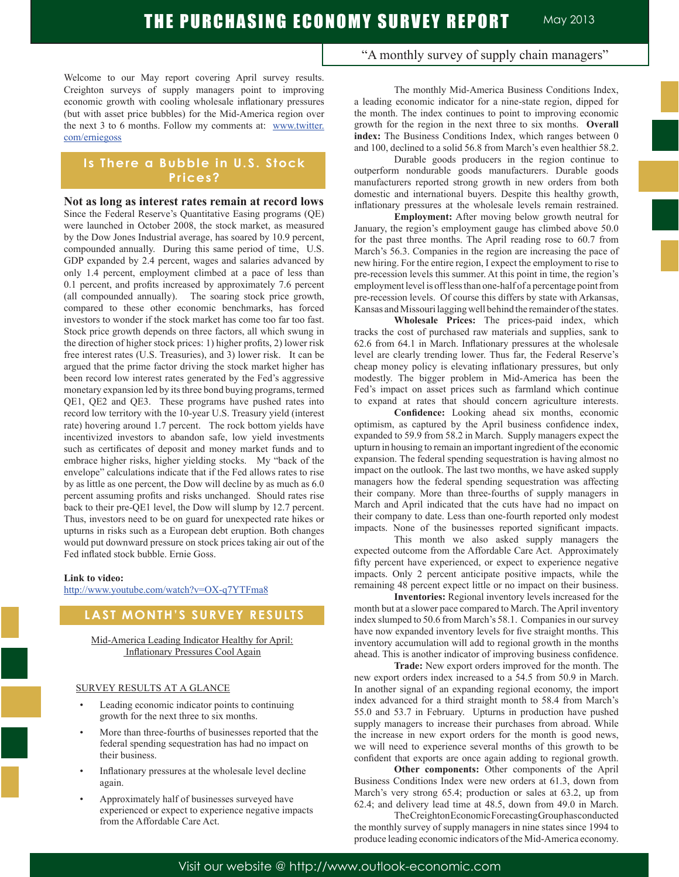Welcome to our May report covering April survey results. Creighton surveys of supply managers point to improving economic growth with cooling wholesale inflationary pressures (but with asset price bubbles) for the Mid-America region over the next 3 to 6 months. Follow my comments at: www.twitter. com/erniegoss

# **Is There a Bubble in U.S. Stock Prices?**

**Not as long as interest rates remain at record lows** Since the Federal Reserve's Quantitative Easing programs (QE) were launched in October 2008, the stock market, as measured by the Dow Jones Industrial average, has soared by 10.9 percent, compounded annually. During this same period of time, U.S. GDP expanded by 2.4 percent, wages and salaries advanced by only 1.4 percent, employment climbed at a pace of less than 0.1 percent, and profits increased by approximately 7.6 percent (all compounded annually). The soaring stock price growth, compared to these other economic benchmarks, has forced investors to wonder if the stock market has come too far too fast. Stock price growth depends on three factors, all which swung in the direction of higher stock prices: 1) higher profits, 2) lower risk free interest rates (U.S. Treasuries), and 3) lower risk. It can be argued that the prime factor driving the stock market higher has been record low interest rates generated by the Fed's aggressive monetary expansion led by its three bond buying programs, termed QE1, QE2 and QE3. These programs have pushed rates into record low territory with the 10-year U.S. Treasury yield (interest rate) hovering around 1.7 percent. The rock bottom yields have incentivized investors to abandon safe, low yield investments such as certificates of deposit and money market funds and to embrace higher risks, higher yielding stocks. My "back of the envelope" calculations indicate that if the Fed allows rates to rise by as little as one percent, the Dow will decline by as much as 6.0 percent assuming profits and risks unchanged. Should rates rise back to their pre-QE1 level, the Dow will slump by 12.7 percent. Thus, investors need to be on guard for unexpected rate hikes or upturns in risks such as a European debt eruption. Both changes would put downward pressure on stock prices taking air out of the Fed inflated stock bubble. Ernie Goss.

#### **Link to video:**

http://www.youtube.com/watch?v=OX-q7YTFma8

# **LAST MONTH'S SURVEY RESULTS**

Mid-America Leading Indicator Healthy for April: Inflationary Pressures Cool Again

#### SURVEY RESULTS AT A GLANCE

- Leading economic indicator points to continuing growth for the next three to six months.
- More than three-fourths of businesses reported that the federal spending sequestration has had no impact on their business.
- Inflationary pressures at the wholesale level decline again.
- Approximately half of businesses surveyed have experienced or expect to experience negative impacts from the Affordable Care Act.

"A monthly survey of supply chain managers"

 The monthly Mid-America Business Conditions Index, a leading economic indicator for a nine-state region, dipped for the month. The index continues to point to improving economic growth for the region in the next three to six months. **Overall index:** The Business Conditions Index, which ranges between 0 and 100, declined to a solid 56.8 from March's even healthier 58.2.

 Durable goods producers in the region continue to outperform nondurable goods manufacturers. Durable goods manufacturers reported strong growth in new orders from both domestic and international buyers. Despite this healthy growth, inflationary pressures at the wholesale levels remain restrained.

**Employment:** After moving below growth neutral for January, the region's employment gauge has climbed above 50.0 for the past three months. The April reading rose to 60.7 from March's 56.3. Companies in the region are increasing the pace of new hiring. For the entire region, I expect the employment to rise to pre-recession levels this summer. At this point in time, the region's employment level is off less than one-half of a percentage point from pre-recession levels. Of course this differs by state with Arkansas, Kansas and Missouri lagging well behind the remainder of the states.

**Wholesale Prices:** The prices-paid index, which tracks the cost of purchased raw materials and supplies, sank to 62.6 from 64.1 in March. Inflationary pressures at the wholesale level are clearly trending lower. Thus far, the Federal Reserve's cheap money policy is elevating inflationary pressures, but only modestly. The bigger problem in Mid-America has been the Fed's impact on asset prices such as farmland which continue to expand at rates that should concern agriculture interests.

**Confidence:** Looking ahead six months, economic optimism, as captured by the April business confidence index, expanded to 59.9 from 58.2 in March. Supply managers expect the upturn in housing to remain an important ingredient of the economic expansion. The federal spending sequestration is having almost no impact on the outlook. The last two months, we have asked supply managers how the federal spending sequestration was affecting their company. More than three-fourths of supply managers in March and April indicated that the cuts have had no impact on their company to date. Less than one-fourth reported only modest impacts. None of the businesses reported significant impacts.

 This month we also asked supply managers the expected outcome from the Affordable Care Act. Approximately fifty percent have experienced, or expect to experience negative impacts. Only 2 percent anticipate positive impacts, while the remaining 48 percent expect little or no impact on their business.

**Inventories:** Regional inventory levels increased for the month but at a slower pace compared to March. The April inventory index slumped to 50.6 from March's 58.1. Companies in our survey have now expanded inventory levels for five straight months. This inventory accumulation will add to regional growth in the months ahead. This is another indicator of improving business confidence.

**Trade:** New export orders improved for the month. The new export orders index increased to a 54.5 from 50.9 in March. In another signal of an expanding regional economy, the import index advanced for a third straight month to 58.4 from March's 55.0 and 53.7 in February. Upturns in production have pushed supply managers to increase their purchases from abroad. While the increase in new export orders for the month is good news, we will need to experience several months of this growth to be confident that exports are once again adding to regional growth.

**Other components:** Other components of the April Business Conditions Index were new orders at 61.3, down from March's very strong 65.4; production or sales at 63.2, up from 62.4; and delivery lead time at 48.5, down from 49.0 in March.

 The Creighton Economic Forecasting Group has conducted the monthly survey of supply managers in nine states since 1994 to produce leading economic indicators of the Mid-America economy.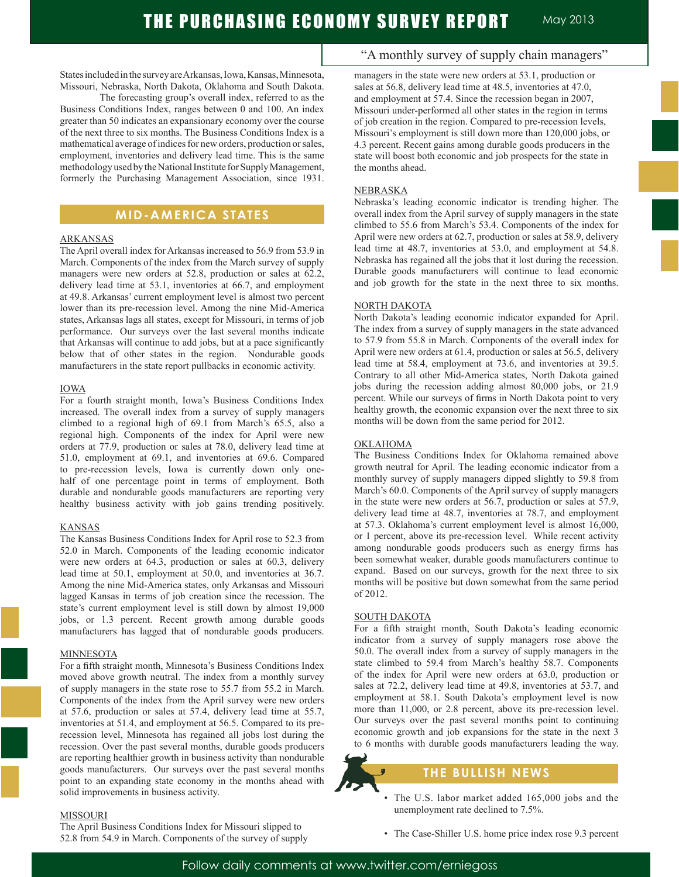States included in the survey are Arkansas, Iowa, Kansas, Minnesota, Missouri, Nebraska, North Dakota, Oklahoma and South Dakota.

 The forecasting group's overall index, referred to as the Business Conditions Index, ranges between 0 and 100. An index greater than 50 indicates an expansionary economy over the course of the next three to six months. The Business Conditions Index is a mathematical average of indices for new orders, production or sales, employment, inventories and delivery lead time. This is the same methodology used by the National Institute for Supply Management, formerly the Purchasing Management Association, since 1931.

# **MID-AMERICA STATES**

#### ARKANSAS

The April overall index for Arkansas increased to 56.9 from 53.9 in March. Components of the index from the March survey of supply managers were new orders at 52.8, production or sales at 62.2, delivery lead time at 53.1, inventories at 66.7, and employment at 49.8. Arkansas' current employment level is almost two percent lower than its pre-recession level. Among the nine Mid-America states, Arkansas lags all states, except for Missouri, in terms of job performance. Our surveys over the last several months indicate that Arkansas will continue to add jobs, but at a pace significantly below that of other states in the region. Nondurable goods manufacturers in the state report pullbacks in economic activity.

#### IOWA

For a fourth straight month, Iowa's Business Conditions Index increased. The overall index from a survey of supply managers climbed to a regional high of 69.1 from March's 65.5, also a regional high. Components of the index for April were new orders at 77.9, production or sales at 78.0, delivery lead time at 51.0, employment at 69.1, and inventories at 69.6. Compared to pre-recession levels, Iowa is currently down only onehalf of one percentage point in terms of employment. Both durable and nondurable goods manufacturers are reporting very healthy business activity with job gains trending positively.

#### KANSAS

The Kansas Business Conditions Index for April rose to 52.3 from 52.0 in March. Components of the leading economic indicator were new orders at 64.3, production or sales at 60.3, delivery lead time at 50.1, employment at 50.0, and inventories at 36.7. Among the nine Mid-America states, only Arkansas and Missouri lagged Kansas in terms of job creation since the recession. The state's current employment level is still down by almost 19,000 jobs, or 1.3 percent. Recent growth among durable goods manufacturers has lagged that of nondurable goods producers.

#### MINNESOTA

For a fifth straight month, Minnesota's Business Conditions Index moved above growth neutral. The index from a monthly survey of supply managers in the state rose to 55.7 from 55.2 in March. Components of the index from the April survey were new orders at 57.6, production or sales at 57.4, delivery lead time at 55.7, inventories at 51.4, and employment at 56.5. Compared to its prerecession level, Minnesota has regained all jobs lost during the recession. Over the past several months, durable goods producers are reporting healthier growth in business activity than nondurable goods manufacturers. Our surveys over the past several months point to an expanding state economy in the months ahead with solid improvements in business activity.

#### MISSOURI

The April Business Conditions Index for Missouri slipped to 52.8 from 54.9 in March. Components of the survey of supply

# "A monthly survey of supply chain managers"

managers in the state were new orders at 53.1, production or sales at 56.8, delivery lead time at 48.5, inventories at 47.0, and employment at 57.4. Since the recession began in 2007, Missouri under-performed all other states in the region in terms of job creation in the region. Compared to pre-recession levels, Missouri's employment is still down more than 120,000 jobs, or 4.3 percent. Recent gains among durable goods producers in the state will boost both economic and job prospects for the state in the months ahead.

#### **NEBRASKA**

Nebraska's leading economic indicator is trending higher. The overall index from the April survey of supply managers in the state climbed to 55.6 from March's 53.4. Components of the index for April were new orders at 62.7, production or sales at 58.9, delivery lead time at 48.7, inventories at 53.0, and employment at 54.8. Nebraska has regained all the jobs that it lost during the recession. Durable goods manufacturers will continue to lead economic and job growth for the state in the next three to six months.

#### NORTH DAKOTA

North Dakota's leading economic indicator expanded for April. The index from a survey of supply managers in the state advanced to 57.9 from 55.8 in March. Components of the overall index for April were new orders at 61.4, production or sales at 56.5, delivery lead time at 58.4, employment at 73.6, and inventories at 39.5. Contrary to all other Mid-America states, North Dakota gained jobs during the recession adding almost 80,000 jobs, or 21.9 percent. While our surveys of firms in North Dakota point to very healthy growth, the economic expansion over the next three to six months will be down from the same period for 2012.

#### OKLAHOMA

The Business Conditions Index for Oklahoma remained above growth neutral for April. The leading economic indicator from a monthly survey of supply managers dipped slightly to 59.8 from March's 60.0. Components of the April survey of supply managers in the state were new orders at 56.7, production or sales at 57.9, delivery lead time at 48.7, inventories at 78.7, and employment at 57.3. Oklahoma's current employment level is almost 16,000, or 1 percent, above its pre-recession level. While recent activity among nondurable goods producers such as energy firms has been somewhat weaker, durable goods manufacturers continue to expand. Based on our surveys, growth for the next three to six months will be positive but down somewhat from the same period of 2012.

#### SOUTH DAKOTA

For a fifth straight month, South Dakota's leading economic indicator from a survey of supply managers rose above the 50.0. The overall index from a survey of supply managers in the state climbed to 59.4 from March's healthy 58.7. Components of the index for April were new orders at 63.0, production or sales at 72.2, delivery lead time at 49.8, inventories at 53.7, and employment at 58.1. South Dakota's employment level is now more than 11,000, or 2.8 percent, above its pre-recession level. Our surveys over the past several months point to continuing economic growth and job expansions for the state in the next 3 to 6 months with durable goods manufacturers leading the way.

### **THE BULLISH NEWS**

- The U.S. labor market added 165,000 jobs and the unemployment rate declined to 7.5%.
- The Case-Shiller U.S. home price index rose 9.3 percent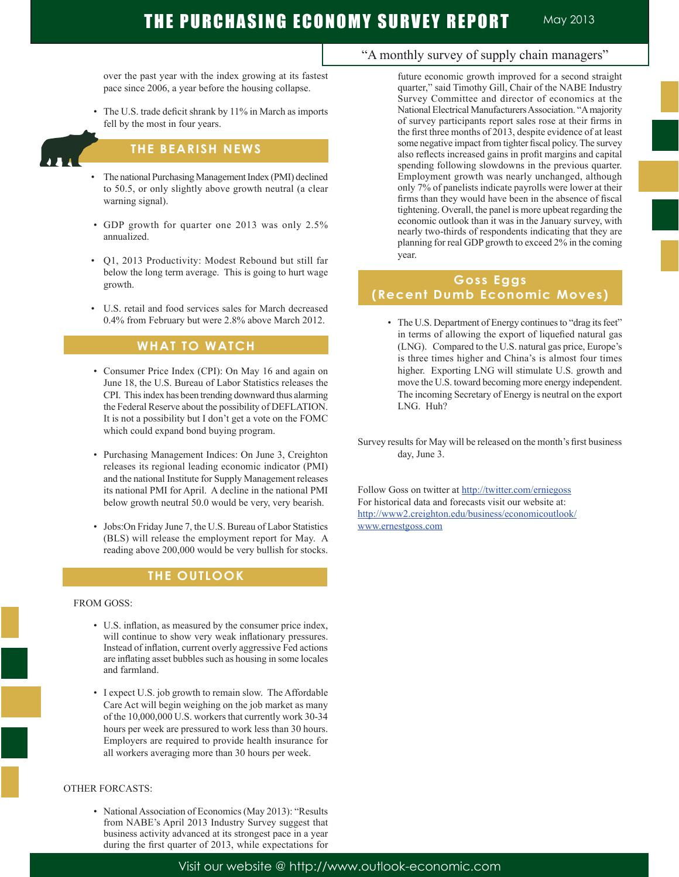over the past year with the index growing at its fastest pace since 2006, a year before the housing collapse.

 • The U.S. trade deficit shrank by 11% in March as imports fell by the most in four years.

# **THE BEARISH NEWS**

- The national Purchasing Management Index (PMI) declined to 50.5, or only slightly above growth neutral (a clear warning signal).
- GDP growth for quarter one 2013 was only 2.5% annualized.
- Q1, 2013 Productivity: Modest Rebound but still far below the long term average. This is going to hurt wage growth.
- U.S. retail and food services sales for March decreased 0.4% from February but were 2.8% above March 2012.

# **WHAT TO WATCH**

- Consumer Price Index (CPI): On May 16 and again on June 18, the U.S. Bureau of Labor Statistics releases the CPI. This index has been trending downward thus alarming the Federal Reserve about the possibility of DEFLATION. It is not a possibility but I don't get a vote on the FOMC which could expand bond buying program.
- Purchasing Management Indices: On June 3, Creighton releases its regional leading economic indicator (PMI) and the national Institute for Supply Management releases its national PMI for April. A decline in the national PMI below growth neutral 50.0 would be very, very bearish.
- Jobs:On Friday June 7, the U.S. Bureau of Labor Statistics (BLS) will release the employment report for May. A reading above 200,000 would be very bullish for stocks.

# **THE OUTLOOK**

#### FROM GOSS:

- U.S. inflation, as measured by the consumer price index, will continue to show very weak inflationary pressures. Instead of inflation, current overly aggressive Fed actions are inflating asset bubbles such as housing in some locales and farmland.
- I expect U.S. job growth to remain slow. The Affordable Care Act will begin weighing on the job market as many of the 10,000,000 U.S. workers that currently work 30-34 hours per week are pressured to work less than 30 hours. Employers are required to provide health insurance for all workers averaging more than 30 hours per week.

#### OTHER FORCASTS:

 • National Association of Economics (May 2013): "Results from NABE's April 2013 Industry Survey suggest that business activity advanced at its strongest pace in a year during the first quarter of 2013, while expectations for

"A monthly survey of supply chain managers"

future economic growth improved for a second straight quarter," said Timothy Gill, Chair of the NABE Industry Survey Committee and director of economics at the National Electrical Manufacturers Association. "A majority of survey participants report sales rose at their firms in the first three months of 2013, despite evidence of at least some negative impact from tighter fiscal policy. The survey also reflects increased gains in profit margins and capital spending following slowdowns in the previous quarter. Employment growth was nearly unchanged, although only 7% of panelists indicate payrolls were lower at their firms than they would have been in the absence of fiscal tightening. Overall, the panel is more upbeat regarding the economic outlook than it was in the January survey, with nearly two-thirds of respondents indicating that they are planning for real GDP growth to exceed 2% in the coming year.

# **Goss Eggs (Recent Dumb Economic Moves)**

- The U.S. Department of Energy continues to "drag its feet" in terms of allowing the export of liquefied natural gas (LNG). Compared to the U.S. natural gas price, Europe's is three times higher and China's is almost four times higher. Exporting LNG will stimulate U.S. growth and move the U.S. toward becoming more energy independent. The incoming Secretary of Energy is neutral on the export LNG. Huh?
- Survey results for May will be released on the month's first business day, June 3.

Follow Goss on twitter at http://twitter.com/erniegoss For historical data and forecasts visit our website at: http://www2.creighton.edu/business/economicoutlook/ www.ernestgoss.com